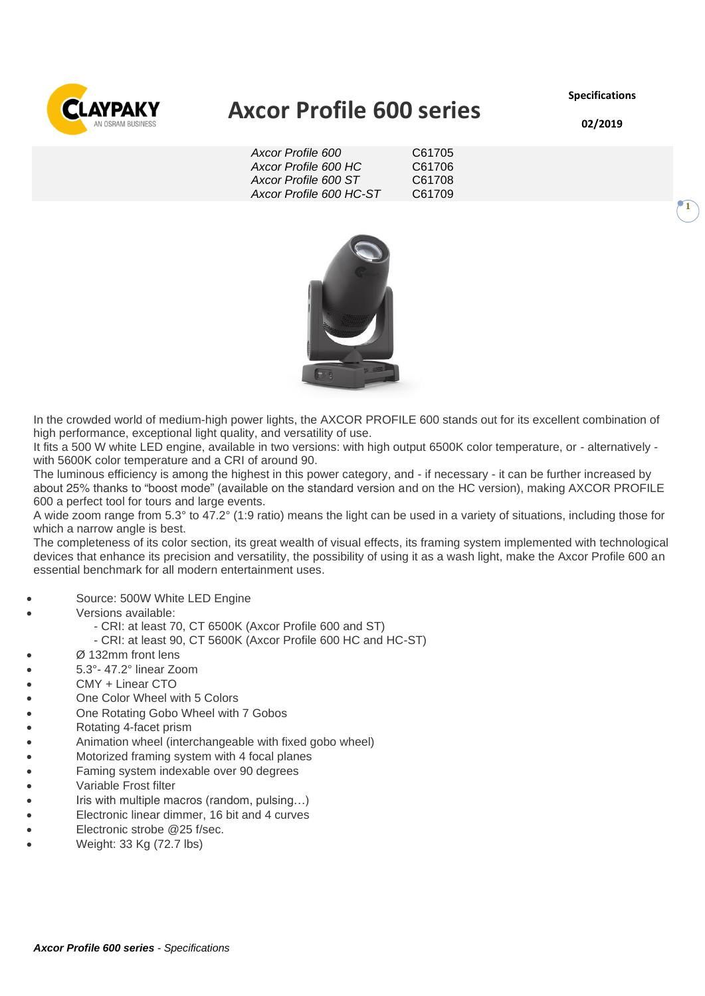**Specifications**



# **Axcor Profile 600 series**

*Axcor Profile 600* C61705 *Axcor Profile 600 HC* C61706 *Axcor Profile 600 ST* C61708 *Axcor Profile 600 HC-ST* C61709



In the crowded world of medium-high power lights, the AXCOR PROFILE 600 stands out for its excellent combination of high performance, exceptional light quality, and versatility of use.

It fits a 500 W white LED engine, available in two versions: with high output 6500K color temperature, or - alternatively with 5600K color temperature and a CRI of around 90.

The luminous efficiency is among the highest in this power category, and - if necessary - it can be further increased by about 25% thanks to "boost mode" (available on the standard version and on the HC version), making AXCOR PROFILE 600 a perfect tool for tours and large events.

A wide zoom range from 5.3° to 47.2° (1:9 ratio) means the light can be used in a variety of situations, including those for which a narrow angle is best.

The completeness of its color section, its great wealth of visual effects, its framing system implemented with technological devices that enhance its precision and versatility, the possibility of using it as a wash light, make the Axcor Profile 600 an essential benchmark for all modern entertainment uses.

- Source: 500W White LED Engine
- Versions available:
	- CRI: at least 70, CT 6500K (Axcor Profile 600 and ST)
	- CRI: at least 90, CT 5600K (Axcor Profile 600 HC and HC-ST)
- Ø 132mm front lens
- 5.3°- 47.2° linear Zoom
- CMY + Linear CTO
- One Color Wheel with 5 Colors
- One Rotating Gobo Wheel with 7 Gobos
- Rotating 4-facet prism
- Animation wheel (interchangeable with fixed gobo wheel)
- Motorized framing system with 4 focal planes
- Faming system indexable over 90 degrees
- Variable Frost filter
- Iris with multiple macros (random, pulsing…)
- Electronic linear dimmer, 16 bit and 4 curves
- Electronic strobe @25 f/sec.
- Weight: 33 Kg (72.7 lbs)

**02/2019**

**1**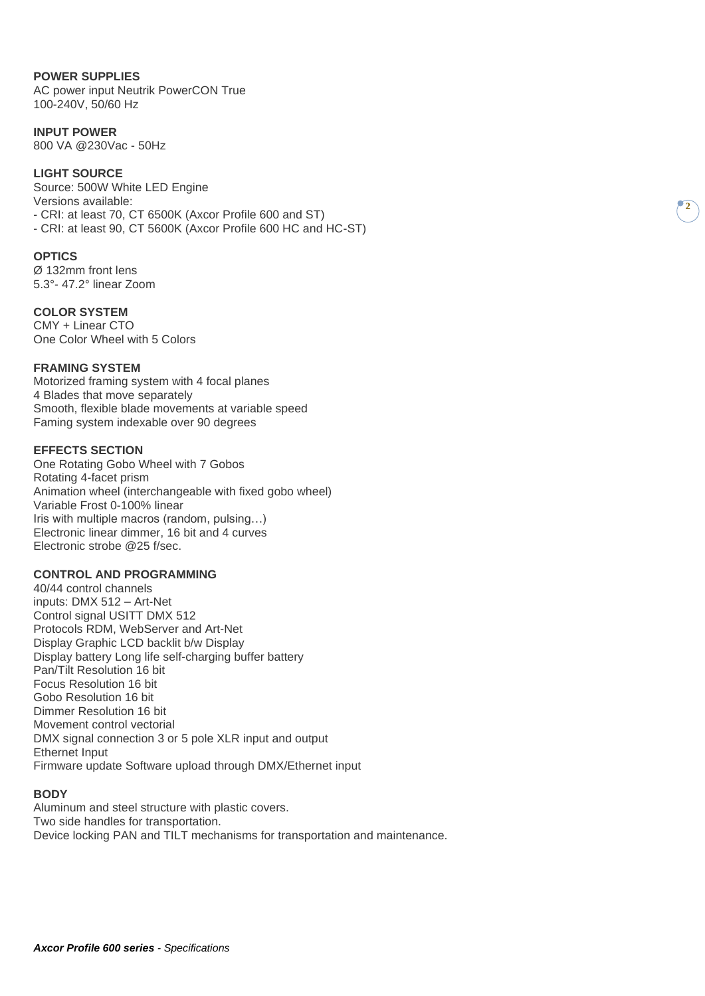#### **POWER SUPPLIES**

AC power input Neutrik PowerCON True 100-240V, 50/60 Hz

### **INPUT POWER**

800 VA @230Vac - 50Hz

# **LIGHT SOURCE**

Source: 500W White LED Engine Versions available: - CRI: at least 70, CT 6500K (Axcor Profile 600 and ST) - CRI: at least 90, CT 5600K (Axcor Profile 600 HC and HC-ST)

#### **OPTICS**

Ø 132mm front lens 5.3°- 47.2° linear Zoom

#### **COLOR SYSTEM**

CMY + Linear CTO One Color Wheel with 5 Colors

#### **FRAMING SYSTEM**

Motorized framing system with 4 focal planes 4 Blades that move separately Smooth, flexible blade movements at variable speed Faming system indexable over 90 degrees

# **EFFECTS SECTION**

One Rotating Gobo Wheel with 7 Gobos Rotating 4-facet prism Animation wheel (interchangeable with fixed gobo wheel) Variable Frost 0-100% linear Iris with multiple macros (random, pulsing…) Electronic linear dimmer, 16 bit and 4 curves Electronic strobe @25 f/sec.

#### **CONTROL AND PROGRAMMING**

40/44 control channels inputs: DMX 512 – Art-Net Control signal USITT DMX 512 Protocols RDM, WebServer and Art-Net Display Graphic LCD backlit b/w Display Display battery Long life self-charging buffer battery Pan/Tilt Resolution 16 bit Focus Resolution 16 bit Gobo Resolution 16 bit Dimmer Resolution 16 bit Movement control vectorial DMX signal connection 3 or 5 pole XLR input and output Ethernet Input Firmware update Software upload through DMX/Ethernet input

#### **BODY**

Aluminum and steel structure with plastic covers. Two side handles for transportation. Device locking PAN and TILT mechanisms for transportation and maintenance.